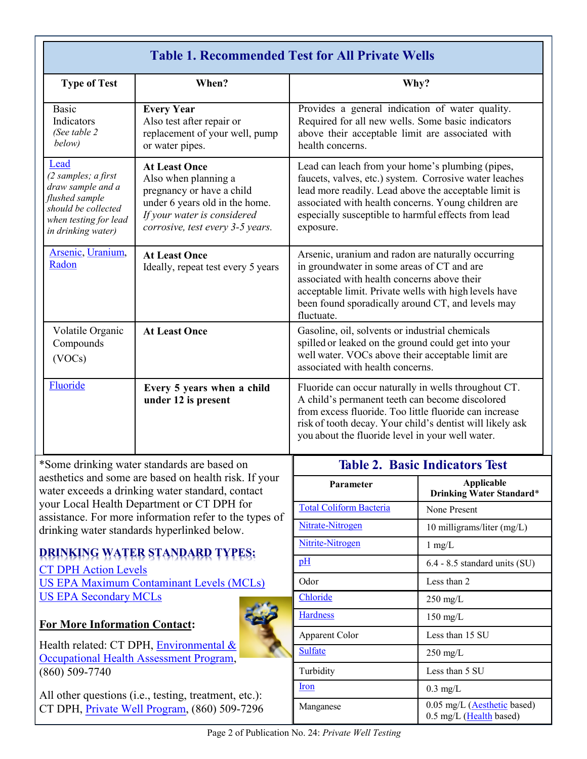| <b>Table 1. Recommended Test for All Private Wells</b>                                                                                   |                                                                                                                                                                                |                                                                                                                                                                                                                                                                                                |                                                                    |  |
|------------------------------------------------------------------------------------------------------------------------------------------|--------------------------------------------------------------------------------------------------------------------------------------------------------------------------------|------------------------------------------------------------------------------------------------------------------------------------------------------------------------------------------------------------------------------------------------------------------------------------------------|--------------------------------------------------------------------|--|
| <b>Type of Test</b>                                                                                                                      | When?                                                                                                                                                                          | Why?                                                                                                                                                                                                                                                                                           |                                                                    |  |
| <b>Basic</b><br>Indicators<br>(See table 2<br>below)                                                                                     | <b>Every Year</b><br>Also test after repair or<br>replacement of your well, pump<br>or water pipes.                                                                            | Provides a general indication of water quality.<br>Required for all new wells. Some basic indicators<br>above their acceptable limit are associated with<br>health concerns.                                                                                                                   |                                                                    |  |
| Lead<br>(2 samples; a first<br>draw sample and a<br>flushed sample<br>should be collected<br>when testing for lead<br>in drinking water) | <b>At Least Once</b><br>Also when planning a<br>pregnancy or have a child<br>under 6 years old in the home.<br>If your water is considered<br>corrosive, test every 3-5 years. | Lead can leach from your home's plumbing (pipes,<br>faucets, valves, etc.) system. Corrosive water leaches<br>lead more readily. Lead above the acceptable limit is<br>associated with health concerns. Young children are<br>especially susceptible to harmful effects from lead<br>exposure. |                                                                    |  |
| Arsenic, Uranium,<br>Radon                                                                                                               | <b>At Least Once</b><br>Ideally, repeat test every 5 years                                                                                                                     | Arsenic, uranium and radon are naturally occurring<br>in groundwater in some areas of CT and are<br>associated with health concerns above their<br>acceptable limit. Private wells with high levels have<br>been found sporadically around CT, and levels may<br>fluctuate.                    |                                                                    |  |
| Volatile Organic<br>Compounds<br>(VOCs)                                                                                                  | <b>At Least Once</b><br>More often if a problem is<br>identified or suspected                                                                                                  | Gasoline, oil, solvents or industrial chemicals<br>spilled or leaked on the ground could get into your<br>well water. VOCs above their acceptable limit are<br>associated with health concerns.                                                                                                |                                                                    |  |
| Fluoride                                                                                                                                 | Every 5 years when a child<br>under 12 is present                                                                                                                              | Fluoride can occur naturally in wells throughout CT.<br>A child's permanent teeth can become discolored<br>from excess fluoride. Too little fluoride can increase<br>risk of tooth decay. Your child's dentist will likely ask<br>you about the fluoride level in your well water.             |                                                                    |  |
| *Some drinking water standards are based on                                                                                              |                                                                                                                                                                                | <b>Table 2. Basic Indicators Test</b>                                                                                                                                                                                                                                                          |                                                                    |  |
| aesthetics and some are based on health risk. If your<br>water exceeds a drinking water standard, contact                                |                                                                                                                                                                                | Parameter                                                                                                                                                                                                                                                                                      | <b>Applicable</b><br><b>Drinking Water Standard*</b>               |  |
| your Local Health Department or CT DPH for<br>assistance. For more information refer to the types of                                     |                                                                                                                                                                                | <b>Total Coliform Bacteria</b>                                                                                                                                                                                                                                                                 | None Present                                                       |  |
| drinking water standards hyperlinked below.                                                                                              |                                                                                                                                                                                | Nitrate-Nitrogen                                                                                                                                                                                                                                                                               | 10 milligrams/liter (mg/L)                                         |  |
|                                                                                                                                          |                                                                                                                                                                                | Nitrite-Nitrogen                                                                                                                                                                                                                                                                               | $1 \text{ mg/L}$                                                   |  |
| DRINKING WATER STANDARD TYPES:<br><b>CT DPH Action Levels</b>                                                                            |                                                                                                                                                                                | pH                                                                                                                                                                                                                                                                                             | 6.4 - 8.5 standard units (SU)                                      |  |
| <b>US EPA Maximum Contaminant Levels (MCLs)</b>                                                                                          |                                                                                                                                                                                | Odor                                                                                                                                                                                                                                                                                           | Less than 2                                                        |  |
| <b>US EPA Secondary MCLs</b>                                                                                                             |                                                                                                                                                                                | Chloride                                                                                                                                                                                                                                                                                       | $250$ mg/L                                                         |  |
| <b>For More Information Contact:</b>                                                                                                     |                                                                                                                                                                                | <b>Hardness</b>                                                                                                                                                                                                                                                                                | $150$ mg/L                                                         |  |
|                                                                                                                                          |                                                                                                                                                                                | <b>Apparent Color</b>                                                                                                                                                                                                                                                                          | Less than 15 SU                                                    |  |
| Health related: CT DPH, Environmental &<br>Occupational Health Assessment Program,                                                       |                                                                                                                                                                                | <b>Sulfate</b>                                                                                                                                                                                                                                                                                 | $250$ mg/L                                                         |  |
| $(860) 509 - 7740$                                                                                                                       |                                                                                                                                                                                | Turbidity                                                                                                                                                                                                                                                                                      | Less than 5 SU                                                     |  |
|                                                                                                                                          |                                                                                                                                                                                | <b>Iron</b>                                                                                                                                                                                                                                                                                    | $0.3$ mg/L                                                         |  |
| All other questions (i.e., testing, treatment, etc.):<br>CT DPH, Private Well Program, (860) 509-7296                                    |                                                                                                                                                                                | Manganese                                                                                                                                                                                                                                                                                      | $0.05$ mg/L ( <b>Aesthetic</b> based)<br>$0.5$ mg/L (Haalth hasad) |  |

0.5 mg/L ([Health](http://www.ct.gov/dph/lib/dph/environmental_health/eoha/pdf/manganese_in_private_well_water_2015.pdf) based)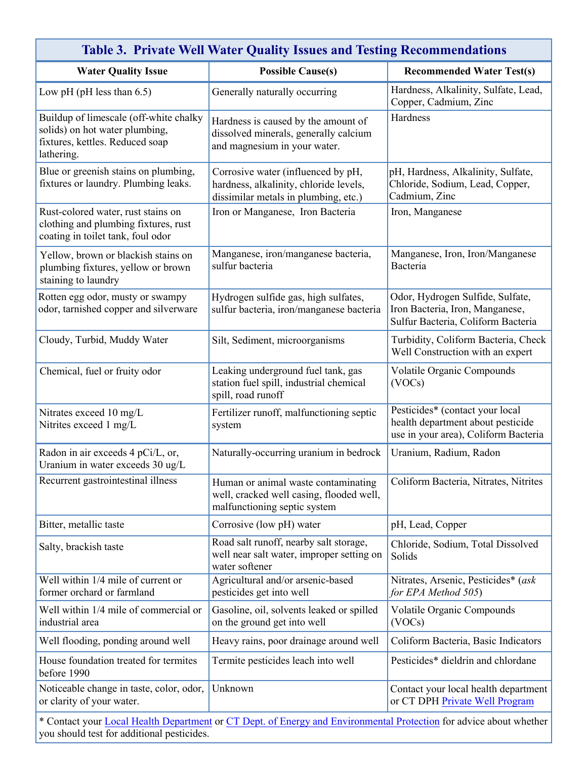| <b>Table 3. Private Well Water Quality Issues and Testing Recommendations</b>                                                                                    |                                                                                                                      |                                                                                                              |  |  |
|------------------------------------------------------------------------------------------------------------------------------------------------------------------|----------------------------------------------------------------------------------------------------------------------|--------------------------------------------------------------------------------------------------------------|--|--|
| <b>Water Quality Issue</b>                                                                                                                                       | <b>Possible Cause(s)</b>                                                                                             | <b>Recommended Water Test(s)</b>                                                                             |  |  |
| Low pH (pH less than $6.5$ )                                                                                                                                     | Generally naturally occurring                                                                                        | Hardness, Alkalinity, Sulfate, Lead,<br>Copper, Cadmium, Zinc                                                |  |  |
| Buildup of limescale (off-white chalky<br>solids) on hot water plumbing,<br>fixtures, kettles. Reduced soap<br>lathering.                                        | Hardness is caused by the amount of<br>dissolved minerals, generally calcium<br>and magnesium in your water.         | Hardness                                                                                                     |  |  |
| Blue or greenish stains on plumbing,<br>fixtures or laundry. Plumbing leaks.                                                                                     | Corrosive water (influenced by pH,<br>hardness, alkalinity, chloride levels,<br>dissimilar metals in plumbing, etc.) | pH, Hardness, Alkalinity, Sulfate,<br>Chloride, Sodium, Lead, Copper,<br>Cadmium, Zinc                       |  |  |
| Rust-colored water, rust stains on<br>clothing and plumbing fixtures, rust<br>coating in toilet tank, foul odor                                                  | Iron or Manganese, Iron Bacteria                                                                                     | Iron, Manganese                                                                                              |  |  |
| Yellow, brown or blackish stains on<br>plumbing fixtures, yellow or brown<br>staining to laundry                                                                 | Manganese, iron/manganese bacteria,<br>sulfur bacteria                                                               | Manganese, Iron, Iron/Manganese<br>Bacteria                                                                  |  |  |
| Rotten egg odor, musty or swampy<br>odor, tarnished copper and silverware                                                                                        | Hydrogen sulfide gas, high sulfates,<br>sulfur bacteria, iron/manganese bacteria                                     | Odor, Hydrogen Sulfide, Sulfate,<br>Iron Bacteria, Iron, Manganese,<br>Sulfur Bacteria, Coliform Bacteria    |  |  |
| Cloudy, Turbid, Muddy Water                                                                                                                                      | Silt, Sediment, microorganisms                                                                                       | Turbidity, Coliform Bacteria, Check<br>Well Construction with an expert                                      |  |  |
| Chemical, fuel or fruity odor                                                                                                                                    | Leaking underground fuel tank, gas<br>station fuel spill, industrial chemical<br>spill, road runoff                  | Volatile Organic Compounds<br>(VOCs)                                                                         |  |  |
| Nitrates exceed 10 mg/L<br>Nitrites exceed 1 mg/L                                                                                                                | Fertilizer runoff, malfunctioning septic<br>system                                                                   | Pesticides* (contact your local<br>health department about pesticide<br>use in your area), Coliform Bacteria |  |  |
| Radon in air exceeds 4 pCi/L, or,<br>Uranium in water exceeds 30 ug/L                                                                                            | Naturally-occurring uranium in bedrock                                                                               | Uranium, Radium, Radon                                                                                       |  |  |
| Recurrent gastrointestinal illness                                                                                                                               | Human or animal waste contaminating<br>well, cracked well casing, flooded well,<br>malfunctioning septic system      | Coliform Bacteria, Nitrates, Nitrites                                                                        |  |  |
| Bitter, metallic taste                                                                                                                                           | Corrosive (low pH) water                                                                                             | pH, Lead, Copper                                                                                             |  |  |
| Salty, brackish taste                                                                                                                                            | Road salt runoff, nearby salt storage,<br>well near salt water, improper setting on<br>water softener                | Chloride, Sodium, Total Dissolved<br>Solids                                                                  |  |  |
| Well within 1/4 mile of current or<br>former orchard or farmland                                                                                                 | Agricultural and/or arsenic-based<br>pesticides get into well                                                        | Nitrates, Arsenic, Pesticides* (ask<br>for EPA Method 505)                                                   |  |  |
| Well within 1/4 mile of commercial or<br>industrial area                                                                                                         | Gasoline, oil, solvents leaked or spilled<br>on the ground get into well                                             | Volatile Organic Compounds<br>(VOCs)                                                                         |  |  |
| Well flooding, ponding around well                                                                                                                               | Heavy rains, poor drainage around well                                                                               | Coliform Bacteria, Basic Indicators                                                                          |  |  |
| House foundation treated for termites<br>before 1990                                                                                                             | Termite pesticides leach into well                                                                                   | Pesticides* dieldrin and chlordane                                                                           |  |  |
| Noticeable change in taste, color, odor,<br>or clarity of your water.                                                                                            | Unknown                                                                                                              | Contact your local health department<br>or CT DPH Private Well Program                                       |  |  |
| * Contact your Local Health Department or CT Dept. of Energy and Environmental Protection for advice about whether<br>you should test for additional pesticides. |                                                                                                                      |                                                                                                              |  |  |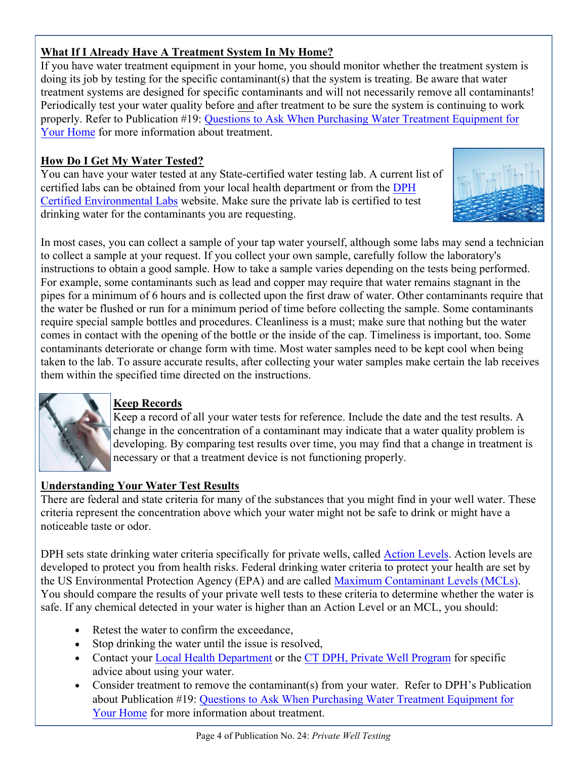# **What If I Already Have A Treatment System In My Home?**

If you have water treatment equipment in your home, you should monitor whether the treatment system is doing its job by testing for the specific contaminant(s) that the system is treating. Be aware that water treatment systems are designed for specific contaminants and will not necessarily remove all contaminants! Periodically test your water quality before and after treatment to be sure the system is continuing to work properly. Refer to Publication #19: Questions to Ask When [Purchasing Water Treatment Equipment](http://www.ct.gov/dph/lib/dph/environmental_health/pdf/19_Questions_to_Ask_When_Purchasing_WTE_for_Your_Home.pdf) for [Your Home](http://www.ct.gov/dph/lib/dph/environmental_health/pdf/19_Questions_to_Ask_When_Purchasing_WTE_for_Your_Home.pdf) for more information about treatment.

# **How Do I Get My Water Tested?**

You can have your water tested at any State-certified water testing lab. A current list of certified labs can be obtained from your local health department or from the [DPH](http://www.ct.gov/dph/lib/dph/environmental_health/environmental_laboratories/pdf/InstateLaboratoriesCertifiedtoTest_DrinkingWater.pdf)  [Certified Environmental Labs](http://www.ct.gov/dph/lib/dph/environmental_health/environmental_laboratories/pdf/InstateLaboratoriesCertifiedtoTest_DrinkingWater.pdf) website. Make sure the private lab is certified to test drinking water for the contaminants you are requesting.



In most cases, you can collect a sample of your tap water yourself, although some labs may send a technician to collect a sample at your request. If you collect your own sample, carefully follow the laboratory's instructions to obtain a good sample. How to take a sample varies depending on the tests being performed. For example, some contaminants such as lead and copper may require that water remains stagnant in the pipes for a minimum of 6 hours and is collected upon the first draw of water. Other contaminants require that the water be flushed or run for a minimum period of time before collecting the sample. Some contaminants require special sample bottles and procedures. Cleanliness is a must; make sure that nothing but the water comes in contact with the opening of the bottle or the inside of the cap. Timeliness is important, too. Some contaminants deteriorate or change form with time. Most water samples need to be kept cool when being taken to the lab. To assure accurate results, after collecting your water samples make certain the lab receives them within the specified time directed on the instructions.



# **Keep Records**

Keep a record of all your water tests for reference. Include the date and the test results. A change in the concentration of a contaminant may indicate that a water quality problem is developing. By comparing test results over time, you may find that a change in treatment is necessary or that a treatment device is not functioning properly.

# **Understanding Your Water Test Results**

There are federal and state criteria for many of the substances that you might find in your well water. These criteria represent the concentration above which your water might not be safe to drink or might have a noticeable taste or odor.

DPH sets state drinking water criteria specifically for private wells, called [Action Levels.](http://www.ct.gov/dph/lib/dph/environmental_health/eoha/pdf/pw_action_levels.pdf) Action levels are developed to protect you from health risks. Federal drinking water criteria to protect your health are set by the US Environmental Protection Agency (EPA) and are ca[lled Maximum Contaminant Levels \(MCL](http://water.epa.gov/drink/contaminants/index.cfm)s). You should compare the results of your private well tests to these criteria to determine whether the water is safe. If any chemical detected in your water is higher than an Action Level or an MCL, you should:

- Retest the water to confirm the exceedance,
- Stop drinking the water until the issue is resolved,  $\bullet$
- Contact your [Local Health Department](http://www.ct.gov/dph/cwp/view.asp?a=3123&q=397740) or the [CT DPH, Private Well Program](www.ct.gov/dph/privatewells) for specific advice about using your water.
- Consider treatment to remove the contaminant(s) from your water. Refer to DPH's Publication about Publication #19: Questions to Ask When [Purchasing Water Treatment Equipment](http://www.ct.gov/dph/lib/dph/environmental_health/pdf/19_Questions_to_Ask_When_Purchasing_WTE_for_Your_Home.pdf) for [Your Home](http://www.ct.gov/dph/lib/dph/environmental_health/pdf/19_Questions_to_Ask_When_Purchasing_WTE_for_Your_Home.pdf) for more information about treatment.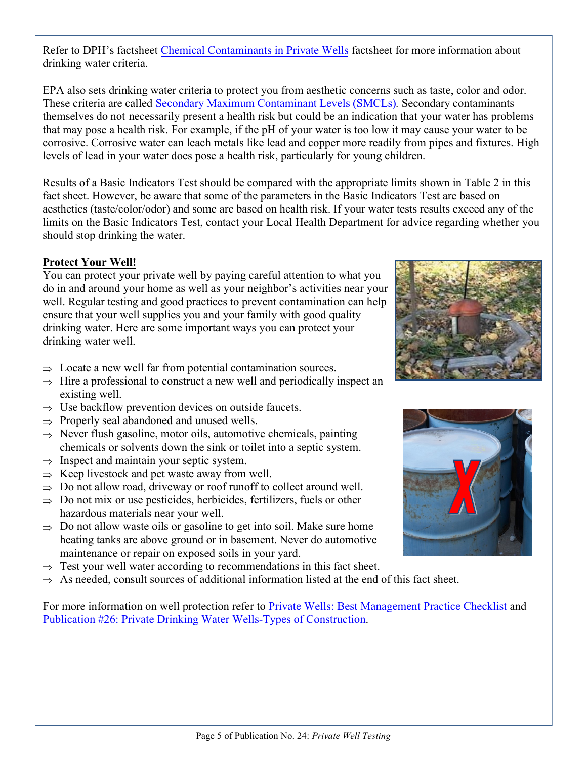Refer to DPH's factsheet [Chemical Contaminants in Private Wells](http://www.ct.gov/dph/lib/dph/environmental_health/eoha/pdf/evaluating_private_well_sampling_results.pdf) factsheet for more information about drinking water criteria.

EPA also sets drinking water criteria to protect you from aesthetic concerns such as taste, color and odor. These criteria are called Secondary [Maximum Contaminant Levels \(SMCLs\)](http://water.epa.gov/drink/contaminants/index.cfm#SecondaryList)*.* Secondary contaminants themselves do not necessarily present a health risk but could be an indication that your water has problems that may pose a health risk. For example, if the pH of your water is too low it may cause your water to be corrosive. Corrosive water can leach metals like lead and copper more readily from pipes and fixtures. High levels of lead in your water does pose a health risk, particularly for young children.

Results of a Basic Indicators Test should be compared with the appropriate limits shown in Table 2 in this fact sheet. However, be aware that some of the parameters in the Basic Indicators Test are based on aesthetics (taste/color/odor) and some are based on health risk. If your water tests results exceed any of the limits on the Basic Indicators Test, contact your Local Health Department for advice regarding whether you should stop drinking the water.

#### **Protect Your Well!**

You can protect your private well by paying careful attention to what you do in and around your home as well as your neighbor's activities near your well. Regular testing and good practices to prevent contamination can help ensure that your well supplies you and your family with good quality drinking water. Here are some important ways you can protect your drinking water well.

- $\Rightarrow$  Locate a new well far from potential contamination sources.
- $\Rightarrow$  Hire a professional to construct a new well and periodically inspect an existing well.
- $\Rightarrow$  Use backflow prevention devices on outside faucets.
- $\Rightarrow$  Properly seal abandoned and unused wells.
- $\Rightarrow$  Never flush gasoline, motor oils, automotive chemicals, painting chemicals or solvents down the sink or toilet into a septic system.
- $\Rightarrow$  Inspect and maintain your septic system.
- $\Rightarrow$  Keep livestock and pet waste away from well.
- $\Rightarrow$  Do not allow road, driveway or roof runoff to collect around well.
- $\Rightarrow$  Do not mix or use pesticides, herbicides, fertilizers, fuels or other hazardous materials near your well.
- $\Rightarrow$  Do not allow waste oils or gasoline to get into soil. Make sure home heating tanks are above ground or in basement. Never do automotive maintenance or repair on exposed soils in your yard.
- $\Rightarrow$  Test your well water according to recommendations in this fact sheet.
- $\Rightarrow$  As needed, consult sources of additional information listed at the end of this fact sheet.

For more information on well protection refer to Private Wells: Best Management Practice Checklist and [Publication #26: Private Drinking Water Wells-Types of Construction](http://www.ct.gov/dph/lib/dph/environmental_health/pdf/26_Private_Drinking_Water_Wells_Types_of_Construction.pdf).